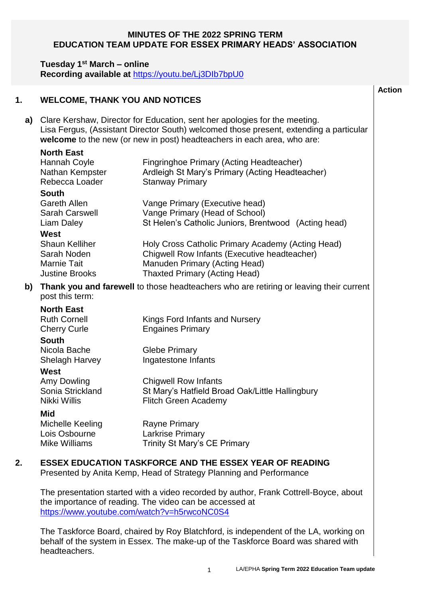#### **MINUTES OF THE 2022 SPRING TERM EDUCATION TEAM UPDATE FOR ESSEX PRIMARY HEADS' ASSOCIATION**

#### **Tuesday 1st March – online**

**Recording available at** <https://youtu.be/Lj3DIb7bpU0>

#### **1. WELCOME, THANK YOU AND NOTICES**

**a)** Clare Kershaw, Director for Education, sent her apologies for the meeting. Lisa Fergus, (Assistant Director South) welcomed those present, extending a particular **welcome** to the new (or new in post) headteachers in each area, who are:

# **North East**

|    | Hannah Coyle<br>Nathan Kempster<br>Rebecca Loader                                                         | Fingringhoe Primary (Acting Headteacher)<br>Ardleigh St Mary's Primary (Acting Headteacher)<br><b>Stanway Primary</b>                                                      |  |
|----|-----------------------------------------------------------------------------------------------------------|----------------------------------------------------------------------------------------------------------------------------------------------------------------------------|--|
|    | <b>South</b><br>Gareth Allen<br>Sarah Carswell<br>Liam Daley                                              | Vange Primary (Executive head)<br>Vange Primary (Head of School)<br>St Helen's Catholic Juniors, Brentwood (Acting head)                                                   |  |
|    | West<br><b>Shaun Kelliher</b><br>Sarah Noden<br><b>Marnie Tait</b><br><b>Justine Brooks</b>               | Holy Cross Catholic Primary Academy (Acting Head)<br>Chigwell Row Infants (Executive headteacher)<br>Manuden Primary (Acting Head)<br><b>Thaxted Primary (Acting Head)</b> |  |
| b) | Thank you and farewell to those headteachers who are retiring or leaving their current<br>post this term: |                                                                                                                                                                            |  |
|    | <b>North East</b><br><b>Ruth Cornell</b><br><b>Cherry Curle</b><br><b>South</b>                           | Kings Ford Infants and Nursery<br><b>Engaines Primary</b>                                                                                                                  |  |
|    | Nicola Bache<br>Shelagh Harvey                                                                            | <b>Glebe Primary</b><br>Ingatestone Infants                                                                                                                                |  |
|    | West<br>Amy Dowling<br>Sonia Strickland<br>Nikki Willis                                                   | <b>Chigwell Row Infants</b><br>St Mary's Hatfield Broad Oak/Little Hallingbury<br><b>Flitch Green Academy</b>                                                              |  |
|    | <b>Mid</b><br>Michelle Keeling<br>Lois Osbourne                                                           | Rayne Primary<br><b>Larkrise Primary</b>                                                                                                                                   |  |

## **2. ESSEX EDUCATION TASKFORCE AND THE ESSEX YEAR OF READING**

Mike Williams **Trinity St Mary's CE Primary** 

Presented by Anita Kemp, Head of Strategy Planning and Performance

The presentation started with a video recorded by author, Frank Cottrell-Boyce, about the importance of reading. The video can be accessed at <https://www.youtube.com/watch?v=h5rwcoNC0S4>

The Taskforce Board, chaired by Roy Blatchford, is independent of the LA, working on behalf of the system in Essex. The make-up of the Taskforce Board was shared with headteachers.

**Action**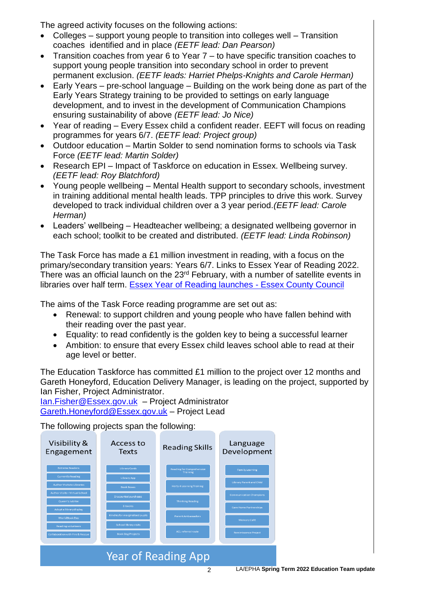The agreed activity focuses on the following actions:

- Colleges support young people to transition into colleges well Transition coaches identified and in place *(EETF lead: Dan Pearson)*
- Transition coaches from year 6 to Year 7 to have specific transition coaches to support young people transition into secondary school in order to prevent permanent exclusion. *(EETF leads: Harriet Phelps-Knights and Carole Herman)*
- Early Years pre-school language Building on the work being done as part of the Early Years Strategy training to be provided to settings on early language development, and to invest in the development of Communication Champions ensuring sustainability of above *(EETF lead: Jo Nice)*
- Year of reading Every Essex child a confident reader. EEFT will focus on reading programmes for years 6/7. *(EETF lead: Project group)*
- Outdoor education Martin Solder to send nomination forms to schools via Task Force *(EETF lead: Martin Solder)*
- Research EPI Impact of Taskforce on education in Essex. Wellbeing survey. *(EETF lead: Roy Blatchford)*
- Young people wellbeing Mental Health support to secondary schools, investment in training additional mental health leads. TPP principles to drive this work. Survey developed to track individual children over a 3 year period.*(EETF lead: Carole Herman)*
- Leaders' wellbeing Headteacher wellbeing; a designated wellbeing governor in each school; toolkit to be created and distributed. *(EETF lead: Linda Robinson)*

The Task Force has made a £1 million investment in reading, with a focus on the primary/secondary transition years: Years 6/7. Links to Essex Year of Reading 2022. There was an official launch on the 23<sup>rd</sup> February, with a number of satellite events in libraries over half term. [Essex Year of Reading launches -](https://www.essex.gov.uk/news/essex-year-of-reading-launches?utm_source=e-shot&utm_medium=email&utm_campaign=EducationEssex-Issue23) Essex County Council

The aims of the Task Force reading programme are set out as:

- Renewal: to support children and young people who have fallen behind with their reading over the past year.
- Equality: to read confidently is the golden key to being a successful learner
- Ambition: to ensure that every Essex child leaves school able to read at their age level or better.

The Education Taskforce has committed £1 million to the project over 12 months and Gareth Honeyford, Education Delivery Manager, is leading on the project, supported by Ian Fisher, Project Administrator.

[Ian.Fisher@Essex.gov.uk](mailto:Ian.Fisher@Essex.gov.uk) – Project Administrator [Gareth.Honeyford@Essex.gov.uk](mailto:Gareth.Honeyford@Essex.gov.uk) – Project Lead

The following projects span the following:

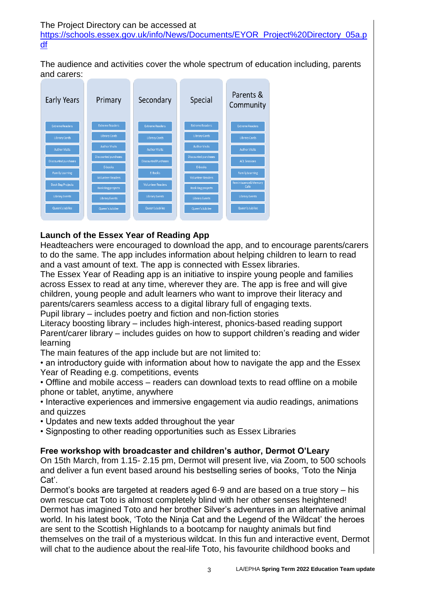[https://schools.essex.gov.uk/info/News/Documents/EYOR\\_Project%20Directory\\_05a.p](https://schools.essex.gov.uk/info/News/Documents/EYOR_Project%20Directory_05a.pdf) [df](https://schools.essex.gov.uk/info/News/Documents/EYOR_Project%20Directory_05a.pdf)

The audience and activities cover the whole spectrum of education including, parents and carers:



## **Launch of the Essex Year of Reading App**

Headteachers were encouraged to download the app, and to encourage parents/carers to do the same. The app includes information about helping children to learn to read and a vast amount of text. The app is connected with Essex libraries.

The Essex Year of Reading app is an initiative to inspire young people and families across Essex to read at any time, wherever they are. The app is free and will give children, young people and adult learners who want to improve their literacy and parents/carers seamless access to a digital library full of engaging texts.

Pupil library – includes poetry and fiction and non-fiction stories

Literacy boosting library – includes high-interest, phonics-based reading support Parent/carer library – includes guides on how to support children's reading and wider learning

The main features of the app include but are not limited to:

• an introductory guide with information about how to navigate the app and the Essex Year of Reading e.g. competitions, events

• Offline and mobile access – readers can download texts to read offline on a mobile phone or tablet, anytime, anywhere

• Interactive experiences and immersive engagement via audio readings, animations and quizzes

• Updates and new texts added throughout the year

• Signposting to other reading opportunities such as Essex Libraries

## **Free workshop with broadcaster and children's author, Dermot O'Leary**

On 15th March, from 1.15- 2.15 pm, Dermot will present live, via Zoom, to 500 schools and deliver a fun event based around his bestselling series of books, 'Toto the Ninja Cat'.

Dermot's books are targeted at readers aged 6-9 and are based on a true story – his own rescue cat Toto is almost completely blind with her other senses heightened! Dermot has imagined Toto and her brother Silver's adventures in an alternative animal world. In his latest book, 'Toto the Ninja Cat and the Legend of the Wildcat' the heroes are sent to the Scottish Highlands to a bootcamp for naughty animals but find themselves on the trail of a mysterious wildcat. In this fun and interactive event, Dermot will chat to the audience about the real-life Toto, his favourite childhood books and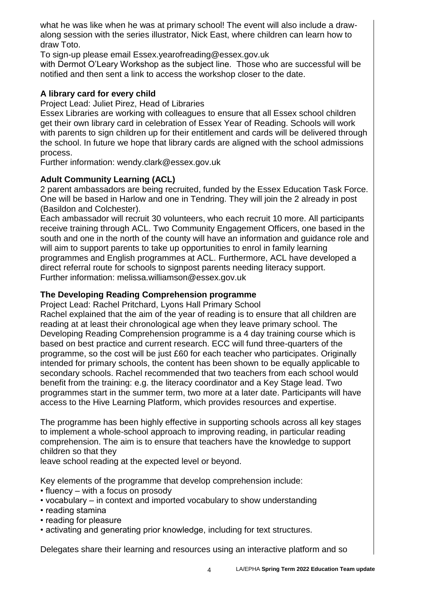what he was like when he was at primary school! The event will also include a drawalong session with the series illustrator, Nick East, where children can learn how to draw Toto.

To sign-up please email [Essex.yearofreading@essex.gov.uk](mailto:Essex.yearofreading@essex.gov.uk)

with Dermot O'Leary Workshop as the subject line. Those who are successful will be notified and then sent a link to access the workshop closer to the date.

## **A library card for every child**

Project Lead: Juliet Pirez, Head of Libraries

Essex Libraries are working with colleagues to ensure that all Essex school children get their own library card in celebration of Essex Year of Reading. Schools will work with parents to sign children up for their entitlement and cards will be delivered through the school. In future we hope that library cards are aligned with the school admissions process.

Further information: [wendy.clark@essex.gov.uk](mailto:wendy.clark@essex.gov.uk)

## **Adult Community Learning (ACL)**

2 parent ambassadors are being recruited, funded by the Essex Education Task Force. One will be based in Harlow and one in Tendring. They will join the 2 already in post (Basildon and Colchester).

Each ambassador will recruit 30 volunteers, who each recruit 10 more. All participants receive training through ACL. Two Community Engagement Officers, one based in the south and one in the north of the county will have an information and guidance role and will aim to support parents to take up opportunities to enrol in family learning programmes and English programmes at ACL. Furthermore, ACL have developed a direct referral route for schools to signpost parents needing literacy support. Further information: melissa.williamson@essex.gov.uk

## **The Developing Reading Comprehension programme**

Project Lead: Rachel Pritchard, Lyons Hall Primary School

Rachel explained that the aim of the year of reading is to ensure that all children are reading at at least their chronological age when they leave primary school. The Developing Reading Comprehension programme is a 4 day training course which is based on best practice and current research. ECC will fund three-quarters of the programme, so the cost will be just £60 for each teacher who participates. Originally intended for primary schools, the content has been shown to be equally applicable to secondary schools. Rachel recommended that two teachers from each school would benefit from the training: e.g. the literacy coordinator and a Key Stage lead. Two programmes start in the summer term, two more at a later date. Participants will have access to the Hive Learning Platform, which provides resources and expertise.

The programme has been highly effective in supporting schools across all key stages to implement a whole-school approach to improving reading, in particular reading comprehension. The aim is to ensure that teachers have the knowledge to support children so that they

leave school reading at the expected level or beyond.

Key elements of the programme that develop comprehension include:

- fluency with a focus on prosody
- vocabulary in context and imported vocabulary to show understanding
- reading stamina
- reading for pleasure
- activating and generating prior knowledge, including for text structures.

Delegates share their learning and resources using an interactive platform and so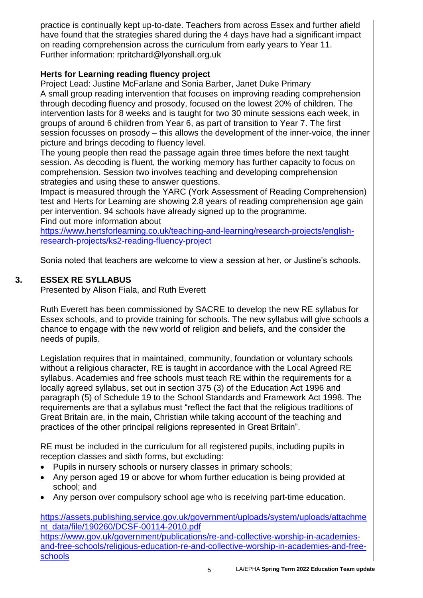practice is continually kept up-to-date. Teachers from across Essex and further afield have found that the strategies shared during the 4 days have had a significant impact on reading comprehension across the curriculum from early years to Year 11. Further information: rpritchard@lyonshall.org.uk

## **Herts for Learning reading fluency project**

Project Lead: Justine McFarlane and Sonia Barber, Janet Duke Primary A small group reading intervention that focuses on improving reading comprehension through decoding fluency and prosody, focused on the lowest 20% of children. The intervention lasts for 8 weeks and is taught for two 30 minute sessions each week, in groups of around 6 children from Year 6, as part of transition to Year 7. The first session focusses on prosody – this allows the development of the inner-voice, the inner picture and brings decoding to fluency level.

The young people then read the passage again three times before the next taught session. As decoding is fluent, the working memory has further capacity to focus on comprehension. Session two involves teaching and developing comprehension strategies and using these to answer questions.

Impact is measured through the YARC (York Assessment of Reading Comprehension) test and Herts for Learning are showing 2.8 years of reading comprehension age gain per intervention. 94 schools have already signed up to the programme. Find out more information about

[https://www.hertsforlearning.co.uk/teaching-and-learning/research-projects/english](https://www.hertsforlearning.co.uk/teaching-and-learning/research-projects/english-research-projects/ks2-reading-fluency-project)[research-projects/ks2-reading-fluency-project](https://www.hertsforlearning.co.uk/teaching-and-learning/research-projects/english-research-projects/ks2-reading-fluency-project)

Sonia noted that teachers are welcome to view a session at her, or Justine's schools.

## **3. ESSEX RE SYLLABUS**

Presented by Alison Fiala, and Ruth Everett

Ruth Everett has been commissioned by SACRE to develop the new RE syllabus for Essex schools, and to provide training for schools. The new syllabus will give schools a chance to engage with the new world of religion and beliefs, and the consider the needs of pupils.

Legislation requires that in maintained, community, foundation or voluntary schools without a religious character, RE is taught in accordance with the Local Agreed RE syllabus. Academies and free schools must teach RE within the requirements for a locally agreed syllabus, set out in section 375 (3) of the Education Act 1996 and paragraph (5) of Schedule 19 to the School Standards and Framework Act 1998. The requirements are that a syllabus must "reflect the fact that the religious traditions of Great Britain are, in the main, Christian while taking account of the teaching and practices of the other principal religions represented in Great Britain".

RE must be included in the curriculum for all registered pupils, including pupils in reception classes and sixth forms, but excluding:

- Pupils in nursery schools or nursery classes in primary schools;
- Any person aged 19 or above for whom further education is being provided at school; and
- Any person over compulsory school age who is receiving part-time education.

[https://assets.publishing.service.gov.uk/government/uploads/system/uploads/attachme](https://assets.publishing.service.gov.uk/government/uploads/system/uploads/attachment_data/file/190260/DCSF-00114-2010.pdf) [nt\\_data/file/190260/DCSF-00114-2010.pdf](https://assets.publishing.service.gov.uk/government/uploads/system/uploads/attachment_data/file/190260/DCSF-00114-2010.pdf) [https://www.gov.uk/government/publications/re-and-collective-worship-in-academies](https://www.gov.uk/government/publications/re-and-collective-worship-in-academies-and-free-schools/religious-education-re-and-collective-worship-in-academies-and-free-schools)[and-free-schools/religious-education-re-and-collective-worship-in-academies-and-free](https://www.gov.uk/government/publications/re-and-collective-worship-in-academies-and-free-schools/religious-education-re-and-collective-worship-in-academies-and-free-schools)[schools](https://www.gov.uk/government/publications/re-and-collective-worship-in-academies-and-free-schools/religious-education-re-and-collective-worship-in-academies-and-free-schools)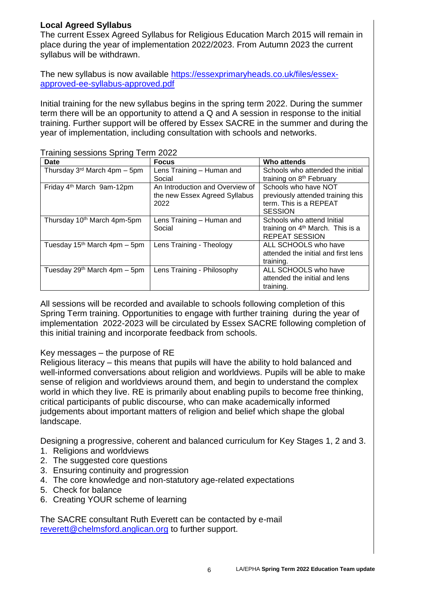## **Local Agreed Syllabus**

The current Essex Agreed Syllabus for Religious Education March 2015 will remain in place during the year of implementation 2022/2023. From Autumn 2023 the current syllabus will be withdrawn.

The new syllabus is now available [https://essexprimaryheads.co.uk/files/essex](https://essexprimaryheads.co.uk/files/essex-approved-ee-syllabus-approved.pdf)[approved-ee-syllabus-approved.pdf](https://essexprimaryheads.co.uk/files/essex-approved-ee-syllabus-approved.pdf)

Initial training for the new syllabus begins in the spring term 2022. During the summer term there will be an opportunity to attend a Q and A session in response to the initial training. Further support will be offered by Essex SACRE in the summer and during the year of implementation, including consultation with schools and networks.

| <b>Date</b>                             | <b>Focus</b>                    | Who attends                                  |
|-----------------------------------------|---------------------------------|----------------------------------------------|
| Thursday $3rd$ March 4pm – 5pm          | Lens Training - Human and       | Schools who attended the initial             |
|                                         | Social                          | training on 8 <sup>th</sup> February         |
| Friday 4 <sup>th</sup> March 9am-12pm   | An Introduction and Overview of | Schools who have NOT                         |
|                                         | the new Essex Agreed Syllabus   | previously attended training this            |
|                                         | 2022                            | term. This is a REPEAT                       |
|                                         |                                 | <b>SESSION</b>                               |
| Thursday 10 <sup>th</sup> March 4pm-5pm | Lens Training - Human and       | Schools who attend Initial                   |
|                                         | Social                          | training on 4 <sup>th</sup> March. This is a |
|                                         |                                 | <b>REPEAT SESSION</b>                        |
| Tuesday $15th$ March 4pm – 5pm          | Lens Training - Theology        | ALL SCHOOLS who have                         |
|                                         |                                 | attended the initial and first lens          |
|                                         |                                 | training.                                    |
| Tuesday $29th$ March 4pm – 5pm          | Lens Training - Philosophy      | ALL SCHOOLS who have                         |
|                                         |                                 | attended the initial and lens                |
|                                         |                                 | training.                                    |

Training sessions Spring Term 2022

All sessions will be recorded and available to schools following completion of this Spring Term training. Opportunities to engage with further training during the year of implementation 2022-2023 will be circulated by Essex SACRE following completion of this initial training and incorporate feedback from schools.

#### Key messages – the purpose of RE

Religious literacy – this means that pupils will have the ability to hold balanced and well-informed conversations about religion and worldviews. Pupils will be able to make sense of religion and worldviews around them, and begin to understand the complex world in which they live. RE is primarily about enabling pupils to become free thinking, critical participants of public discourse, who can make academically informed judgements about important matters of religion and belief which shape the global landscape.

Designing a progressive, coherent and balanced curriculum for Key Stages 1, 2 and 3.

- 1. Religions and worldviews
- 2. The suggested core questions
- 3. Ensuring continuity and progression
- 4. The core knowledge and non-statutory age-related expectations
- 5. Check for balance
- 6. Creating YOUR scheme of learning

The SACRE consultant Ruth Everett can be contacted by e-mail [reverett@chelmsford.anglican.org](mailto:reverett@chelmsford.anglican.org) to further support.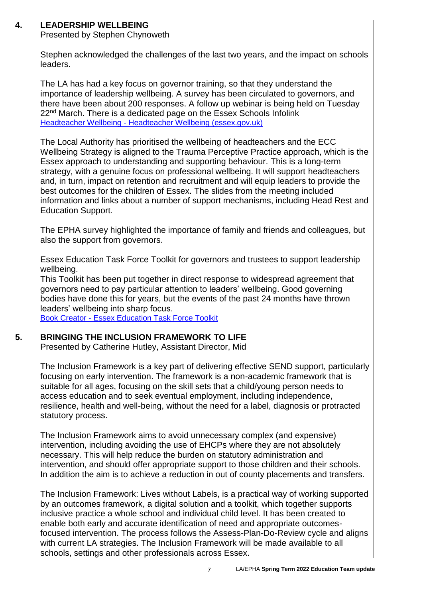# **4. LEADERSHIP WELLBEING**

Presented by Stephen Chynoweth

Stephen acknowledged the challenges of the last two years, and the impact on schools leaders.

The LA has had a key focus on governor training, so that they understand the importance of leadership wellbeing. A survey has been circulated to governors, and there have been about 200 responses. A follow up webinar is being held on Tuesday 22<sup>nd</sup> March. There is a dedicated page on the Essex Schools Infolink Headteacher Wellbeing - [Headteacher Wellbeing \(essex.gov.uk\)](https://schools.essex.gov.uk/staff/headteacher_wellbeing/Pages/default.aspx)

The Local Authority has prioritised the wellbeing of headteachers and the ECC Wellbeing Strategy is aligned to the Trauma Perceptive Practice approach, which is the Essex approach to understanding and supporting behaviour. This is a long-term strategy, with a genuine focus on professional wellbeing. It will support headteachers and, in turn, impact on retention and recruitment and will equip leaders to provide the best outcomes for the children of Essex. The slides from the meeting included information and links about a number of support mechanisms, including Head Rest and Education Support.

The EPHA survey highlighted the importance of family and friends and colleagues, but also the support from governors.

[Essex Education Task Force Toolkit](https://read.bookcreator.com/y9siz771rHSYyEaiURYZ5f9zSGA3/mkOIOB_yS_uHUzdwkAOJDQ?utm_source=e-shot&utm_medium=email&utm_campaign=EducationEssex-Issue23) for governors and trustees to support leadership wellbeing.

This Toolkit has been put together in direct response to widespread agreement that governors need to pay particular attention to leaders' wellbeing. Good governing bodies have done this for years, but the events of the past 24 months have thrown leaders' wellbeing into sharp focus.

Book Creator - [Essex Education Task Force Toolkit](https://read.bookcreator.com/y9siz771rHSYyEaiURYZ5f9zSGA3/mkOIOB_yS_uHUzdwkAOJDQ?utm_source=e-shot&utm_medium=email&utm_campaign=EducationEssex-Issue23)

#### **5. BRINGING THE INCLUSION FRAMEWORK TO LIFE**

Presented by Catherine Hutley, Assistant Director, Mid

The Inclusion Framework is a key part of delivering effective SEND support, particularly focusing on early intervention. The framework is a non-academic framework that is suitable for all ages, focusing on the skill sets that a child/young person needs to access education and to seek eventual employment, including independence, resilience, health and well-being, without the need for a label, diagnosis or protracted statutory process.

The Inclusion Framework aims to avoid unnecessary complex (and expensive) intervention, including avoiding the use of EHCPs where they are not absolutely necessary. This will help reduce the burden on statutory administration and intervention, and should offer appropriate support to those children and their schools. In addition the aim is to achieve a reduction in out of county placements and transfers.

The Inclusion Framework: Lives without Labels, is a practical way of working supported by an outcomes framework, a digital solution and a toolkit, which together supports inclusive practice a whole school and individual child level. It has been created to enable both early and accurate identification of need and appropriate outcomesfocused intervention. The process follows the Assess-Plan-Do-Review cycle and aligns with current LA strategies. The Inclusion Framework will be made available to all schools, settings and other professionals across Essex.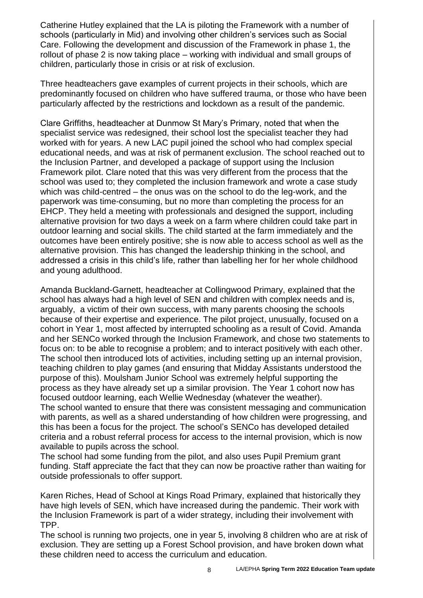Catherine Hutley explained that the LA is piloting the Framework with a number of schools (particularly in Mid) and involving other children's services such as Social Care. Following the development and discussion of the Framework in phase 1, the rollout of phase 2 is now taking place – working with individual and small groups of children, particularly those in crisis or at risk of exclusion.

Three headteachers gave examples of current projects in their schools, which are predominantly focused on children who have suffered trauma, or those who have been particularly affected by the restrictions and lockdown as a result of the pandemic.

Clare Griffiths, headteacher at Dunmow St Mary's Primary, noted that when the specialist service was redesigned, their school lost the specialist teacher they had worked with for years. A new LAC pupil joined the school who had complex special educational needs, and was at risk of permanent exclusion. The school reached out to the Inclusion Partner, and developed a package of support using the Inclusion Framework pilot. Clare noted that this was very different from the process that the school was used to; they completed the inclusion framework and wrote a case study which was child-centred – the onus was on the school to do the leg-work, and the paperwork was time-consuming, but no more than completing the process for an EHCP. They held a meeting with professionals and designed the support, including alternative provision for two days a week on a farm where children could take part in outdoor learning and social skills. The child started at the farm immediately and the outcomes have been entirely positive; she is now able to access school as well as the alternative provision. This has changed the leadership thinking in the school, and addressed a crisis in this child's life, rather than labelling her for her whole childhood and young adulthood.

Amanda Buckland-Garnett, headteacher at Collingwood Primary, explained that the school has always had a high level of SEN and children with complex needs and is, arguably, a victim of their own success, with many parents choosing the schools because of their expertise and experience. The pilot project, unusually, focused on a cohort in Year 1, most affected by interrupted schooling as a result of Covid. Amanda and her SENCo worked through the Inclusion Framework, and chose two statements to focus on: to be able to recognise a problem; and to interact positively with each other. The school then introduced lots of activities, including setting up an internal provision, teaching children to play games (and ensuring that Midday Assistants understood the purpose of this). Moulsham Junior School was extremely helpful supporting the process as they have already set up a similar provision. The Year 1 cohort now has focused outdoor learning, each Wellie Wednesday (whatever the weather). The school wanted to ensure that there was consistent messaging and communication with parents, as well as a shared understanding of how children were progressing, and this has been a focus for the project. The school's SENCo has developed detailed

criteria and a robust referral process for access to the internal provision, which is now available to pupils across the school.

The school had some funding from the pilot, and also uses Pupil Premium grant funding. Staff appreciate the fact that they can now be proactive rather than waiting for outside professionals to offer support.

Karen Riches, Head of School at Kings Road Primary, explained that historically they have high levels of SEN, which have increased during the pandemic. Their work with the Inclusion Framework is part of a wider strategy, including their involvement with TPP.

The school is running two projects, one in year 5, involving 8 children who are at risk of exclusion. They are setting up a Forest School provision, and have broken down what these children need to access the curriculum and education.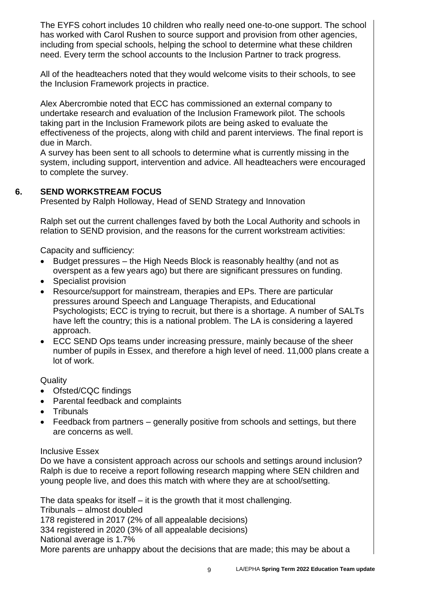The EYFS cohort includes 10 children who really need one-to-one support. The school has worked with Carol Rushen to source support and provision from other agencies, including from special schools, helping the school to determine what these children need. Every term the school accounts to the Inclusion Partner to track progress.

All of the headteachers noted that they would welcome visits to their schools, to see the Inclusion Framework projects in practice.

Alex Abercrombie noted that ECC has commissioned an external company to undertake research and evaluation of the Inclusion Framework pilot. The schools taking part in the Inclusion Framework pilots are being asked to evaluate the effectiveness of the projects, along with child and parent interviews. The final report is due in March.

A survey has been sent to all schools to determine what is currently missing in the system, including support, intervention and advice. All headteachers were encouraged to complete the survey.

### **6. SEND WORKSTREAM FOCUS**

Presented by Ralph Holloway, Head of SEND Strategy and Innovation

Ralph set out the current challenges faved by both the Local Authority and schools in relation to SEND provision, and the reasons for the current workstream activities:

Capacity and sufficiency:

- Budget pressures the High Needs Block is reasonably healthy (and not as overspent as a few years ago) but there are significant pressures on funding.
- Specialist provision
- Resource/support for mainstream, therapies and EPs. There are particular pressures around Speech and Language Therapists, and Educational Psychologists; ECC is trying to recruit, but there is a shortage. A number of SALTs have left the country; this is a national problem. The LA is considering a layered approach.
- ECC SEND Ops teams under increasing pressure, mainly because of the sheer number of pupils in Essex, and therefore a high level of need. 11,000 plans create a lot of work.

**Quality** 

- Ofsted/CQC findings
- Parental feedback and complaints
- Tribunals
- Feedback from partners generally positive from schools and settings, but there are concerns as well.

#### Inclusive Essex

Do we have a consistent approach across our schools and settings around inclusion? Ralph is due to receive a report following research mapping where SEN children and young people live, and does this match with where they are at school/setting.

The data speaks for itself – it is the growth that it most challenging. Tribunals – almost doubled 178 registered in 2017 (2% of all appealable decisions) 334 registered in 2020 (3% of all appealable decisions) National average is 1.7% More parents are unhappy about the decisions that are made; this may be about a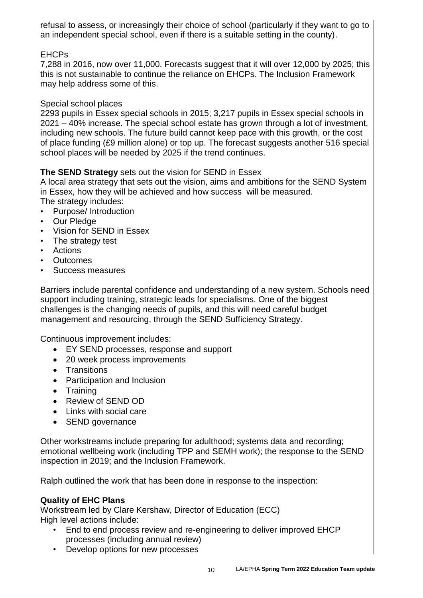refusal to assess, or increasingly their choice of school (particularly if they want to go to an independent special school, even if there is a suitable setting in the county).

## EHCPs

7,288 in 2016, now over 11,000. Forecasts suggest that it will over 12,000 by 2025; this this is not sustainable to continue the reliance on EHCPs. The Inclusion Framework may help address some of this.

#### Special school places

2293 pupils in Essex special schools in 2015; 3,217 pupils in Essex special schools in 2021 – 40% increase. The special school estate has grown through a lot of investment, including new schools. The future build cannot keep pace with this growth, or the cost of place funding (£9 million alone) or top up. The forecast suggests another 516 special school places will be needed by 2025 if the trend continues.

#### **The SEND Strategy** sets out the vision for SEND in Essex

A local area strategy that sets out the vision, aims and ambitions for the SEND System in Essex, how they will be achieved and how success will be measured. The strategy includes:

- Purpose/ Introduction
- Our Pledge
- Vision for SEND in Essex
- The strategy test
- Actions
- Outcomes
- Success measures

Barriers include parental confidence and understanding of a new system. Schools need support including training, strategic leads for specialisms. One of the biggest challenges is the changing needs of pupils, and this will need careful budget management and resourcing, through the SEND Sufficiency Strategy.

Continuous improvement includes:

- EY SEND processes, response and support
- 20 week process improvements
- Transitions
- Participation and Inclusion
- Training
- Review of SEND OD
- Links with social care
- SEND governance

Other workstreams include preparing for adulthood; systems data and recording; emotional wellbeing work (including TPP and SEMH work); the response to the SEND inspection in 2019; and the Inclusion Framework.

Ralph outlined the work that has been done in response to the inspection:

#### **Quality of EHC Plans**

Workstream led by Clare Kershaw, Director of Education (ECC) High level actions include:

- End to end process review and re-engineering to deliver improved EHCP processes (including annual review)
- Develop options for new processes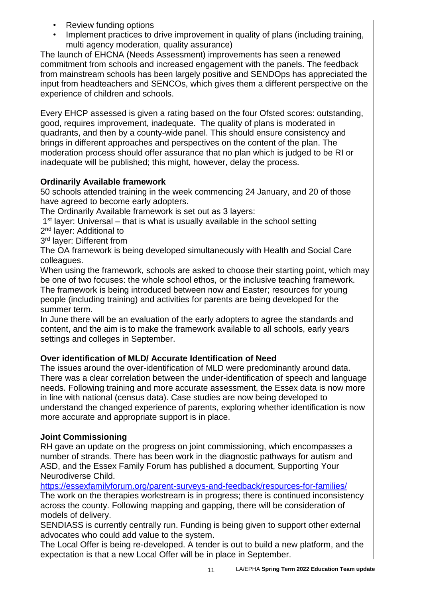- Review funding options
- Implement practices to drive improvement in quality of plans (including training, multi agency moderation, quality assurance)

The launch of EHCNA (Needs Assessment) improvements has seen a renewed commitment from schools and increased engagement with the panels. The feedback from mainstream schools has been largely positive and SENDOps has appreciated the input from headteachers and SENCOs, which gives them a different perspective on the experience of children and schools.

Every EHCP assessed is given a rating based on the four Ofsted scores: outstanding, good, requires improvement, inadequate. The quality of plans is moderated in quadrants, and then by a county-wide panel. This should ensure consistency and brings in different approaches and perspectives on the content of the plan. The moderation process should offer assurance that no plan which is judged to be RI or inadequate will be published; this might, however, delay the process.

# **Ordinarily Available framework**

50 schools attended training in the week commencing 24 January, and 20 of those have agreed to become early adopters.

The Ordinarily Available framework is set out as 3 layers:

1<sup>st</sup> layer: Universal – that is what is usually available in the school setting

2<sup>nd</sup> layer: Additional to

3<sup>rd</sup> layer: Different from

The OA framework is being developed simultaneously with Health and Social Care colleagues.

When using the framework, schools are asked to choose their starting point, which may be one of two focuses: the whole school ethos, or the inclusive teaching framework. The framework is being introduced between now and Easter; resources for young people (including training) and activities for parents are being developed for the

summer term. In June there will be an evaluation of the early adopters to agree the standards and content, and the aim is to make the framework available to all schools, early years

settings and colleges in September.

# **Over identification of MLD/ Accurate Identification of Need**

The issues around the over-identification of MLD were predominantly around data. There was a clear correlation between the under-identification of speech and language needs. Following training and more accurate assessment, the Essex data is now more in line with national (census data). Case studies are now being developed to understand the changed experience of parents, exploring whether identification is now more accurate and appropriate support is in place.

# **Joint Commissioning**

RH gave an update on the progress on joint commissioning, which encompasses a number of strands. There has been work in the diagnostic pathways for autism and ASD, and the Essex Family Forum has published a document, Supporting Your Neurodiverse Child.

<https://essexfamilyforum.org/parent-surveys-and-feedback/resources-for-families/> The work on the therapies workstream is in progress; there is continued inconsistency across the county. Following mapping and gapping, there will be consideration of models of delivery.

SENDIASS is currently centrally run. Funding is being given to support other external advocates who could add value to the system.

The Local Offer is being re-developed. A tender is out to build a new platform, and the expectation is that a new Local Offer will be in place in September.